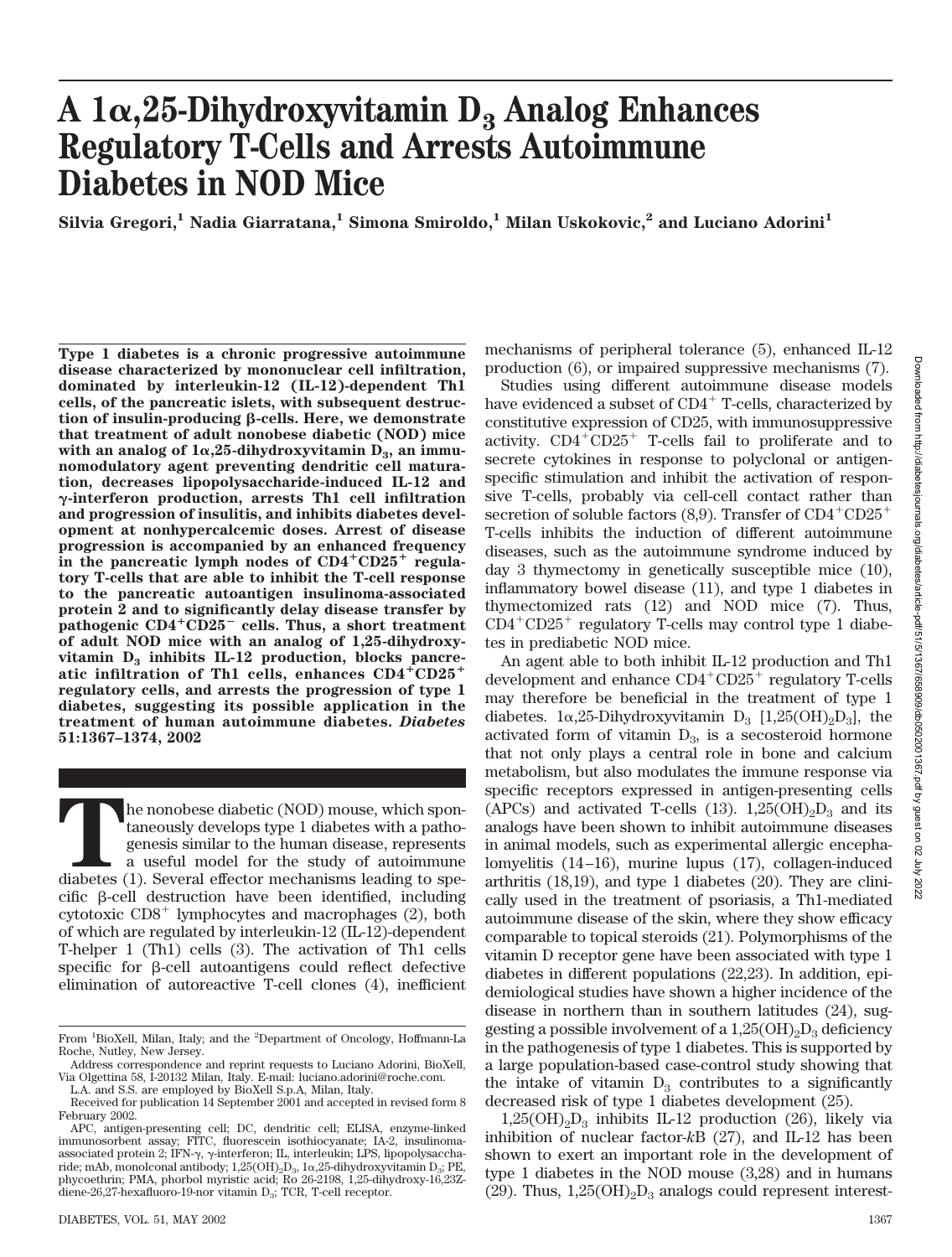# A  $1\alpha$ , 25-Dihydroxyvitamin  $D_3$  Analog Enhances **Regulatory T-Cells and Arrests Autoimmune Diabetes in NOD Mice**

Silvia Gregori,<sup>1</sup> Nadia Giarratana,<sup>1</sup> Simona Smiroldo,<sup>1</sup> Milan Uskokovic,<sup>2</sup> and Luciano Adorini<sup>1</sup>

**Type 1 diabetes is a chronic progressive autoimmune disease characterized by mononuclear cell infiltration, dominated by interleukin-12 (IL-12)-dependent Th1 cells, of the pancreatic islets, with subsequent destruc**tion of insulin-producing β-cells. Here, we demonstrate **that treatment of adult nonobese diabetic (NOD) mice** with an analog of  $1\alpha,25$ -dihydroxyvitamin  $D_3$ , an immu**nomodulatory agent preventing dendritic cell maturation, decreases lipopolysaccharide-induced IL-12 and -interferon production, arrests Th1 cell infiltration and progression of insulitis, and inhibits diabetes development at nonhypercalcemic doses. Arrest of disease progression is accompanied by an enhanced frequency** in the pancreatic lymph nodes of  $CD4^+CD25^+$  regula**tory T-cells that are able to inhibit the T-cell response to the pancreatic autoantigen insulinoma-associated protein 2 and to significantly delay disease transfer by pathogenic CD4CD25 cells. Thus, a short treatment of adult NOD mice with an analog of 1,25-dihydroxy**vitamin  $D_3$  inhibits IL-12 production, blocks pancreatic infiltration of Th1 cells, enhances  $CD4^+CD25^+$ **regulatory cells, and arrests the progression of type 1 diabetes, suggesting its possible application in the treatment of human autoimmune diabetes.** *Diabetes* **51:1367–1374, 2002**

The nonobese diabetic (NOD) mouse, which spon-<br>taneously develops type 1 diabetes with a patho-<br>genesis similar to the human disease, represents<br>a useful model for the study of autoimmune<br>diabetes (1). Several effector mec taneously develops type 1 diabetes with a pathogenesis similar to the human disease, represents a useful model for the study of autoimmune  $c$ ific  $\beta$ -cell destruction have been identified, including cytotoxic CD8<sup>+</sup> lymphocytes and macrophages (2), both of which are regulated by interleukin-12 (IL-12)-dependent T-helper 1 (Th1) cells (3). The activation of Th1 cells specific for  $\beta$ -cell autoantigens could reflect defective elimination of autoreactive T-cell clones (4), inefficient mechanisms of peripheral tolerance (5), enhanced IL-12 production (6), or impaired suppressive mechanisms (7).

Studies using different autoimmune disease models have evidenced a subset of CD4<sup>+</sup> T-cells, characterized by constitutive expression of CD25, with immunosuppressive activity.  $CD4+CD25+$  T-cells fail to proliferate and to secrete cytokines in response to polyclonal or antigenspecific stimulation and inhibit the activation of responsive T-cells, probably via cell-cell contact rather than secretion of soluble factors  $(8,9)$ . Transfer of  $CD4^+CD25^+$ T-cells inhibits the induction of different autoimmune diseases, such as the autoimmune syndrome induced by day 3 thymectomy in genetically susceptible mice (10), inflammatory bowel disease (11), and type 1 diabetes in thymectomized rats (12) and NOD mice (7). Thus, CD4<sup>+</sup>CD25<sup>+</sup> regulatory T-cells may control type 1 diabetes in prediabetic NOD mice.

An agent able to both inhibit IL-12 production and Th1 development and enhance CD4<sup>+</sup>CD25<sup>+</sup> regulatory T-cells may therefore be beneficial in the treatment of type 1 diabetes.  $1\alpha,25$ -Dihydroxyvitamin  $D_3$  [1,25(OH)<sub>2</sub>D<sub>3</sub>], the activated form of vitamin  $D_3$ , is a secosteroid hormone that not only plays a central role in bone and calcium metabolism, but also modulates the immune response via specific receptors expressed in antigen-presenting cells (APCs) and activated T-cells (13).  $1,25(OH)_2D_3$  and its analogs have been shown to inhibit autoimmune diseases in animal models, such as experimental allergic encephalomyelitis (14–16), murine lupus (17), collagen-induced arthritis (18,19), and type 1 diabetes (20). They are clinically used in the treatment of psoriasis, a Th1-mediated autoimmune disease of the skin, where they show efficacy comparable to topical steroids (21). Polymorphisms of the vitamin D receptor gene have been associated with type 1 diabetes in different populations (22,23). In addition, epidemiological studies have shown a higher incidence of the disease in northern than in southern latitudes (24), suggesting a possible involvement of a  $1,25(OH)_{2}D_{3}$  deficiency in the pathogenesis of type 1 diabetes. This is supported by a large population-based case-control study showing that the intake of vitamin  $D_3$  contributes to a significantly decreased risk of type 1 diabetes development (25).

 $1,25(OH)<sub>2</sub>D<sub>3</sub>$  inhibits IL-12 production (26), likely via inhibition of nuclear factor-*k*B (27), and IL-12 has been shown to exert an important role in the development of type 1 diabetes in the NOD mouse (3,28) and in humans (29). Thus,  $1,25(OH)_{2}D_{3}$  analogs could represent interest-

From <sup>1</sup>BioXell, Milan, Italy; and the <sup>2</sup>Department of Oncology, Hoffmann-La Roche, Nutley, New Jersey.

Address correspondence and reprint requests to Luciano Adorini, BioXell, Via Olgettina 58, I-20132 Milan, Italy. E-mail: luciano.adorini@roche.com.

L.A. and S.S. are employed by BioXell S.p.A, Milan, Italy.

Received for publication 14 September 2001 and accepted in revised form 8 February 2002.

APC, antigen-presenting cell; DC, dendritic cell; ELISA, enzyme-linked immunosorbent assay; FITC, fluorescein isothiocyanate; IA-2, insulinoma-<br>associated protein 2; IFN-y, y-interferon; IL, interleukin; LPS, lipopolysaccharide; mAb, monolconal antibody;  $1,25(OH)_2D_3$ ,  $1\alpha,25$ -dihydroxyvitamin  $D_3$ ; PE, phycoethrin; PMA, phorbol myristic acid; Ro 26-2198, 1,25-dihydroxy-16,23Zdiene-26,27-hexafluoro-19-nor vitamin  $D_3$ ; TCR, T-cell receptor.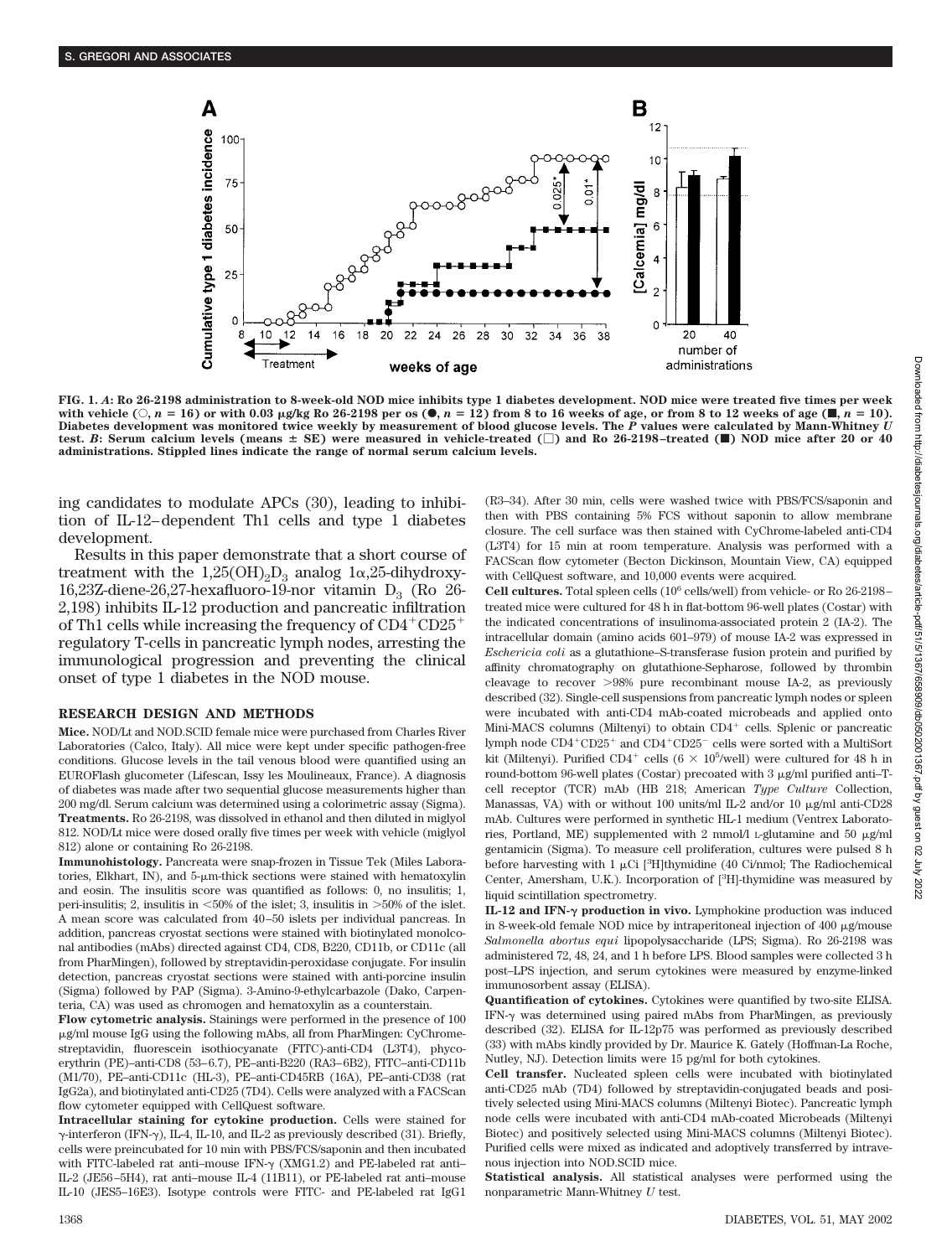

**FIG. 1.** *A***: Ro 26-2198 administration to 8-week-old NOD mice inhibits type 1 diabetes development. NOD mice were treated five times per week** with vehicle (○, n = 16) or with 0.03 µg/kg Ro 26-2198 per os (●, n = 12) from 8 to 16 weeks of age, or from 8 to 12 weeks of age (■, n = 10).<br>Diabetes development was monitored twice weekly by measurement of blood glucos test. *B*: Serum calcium levels (means  $\pm$  SE) were measured in vehicle-treated  $\Box$ ) and Ro 26-2198–treated ( $\Box$ ) NOD mice after 20 or 40 **administrations. Stippled lines indicate the range of normal serum calcium levels.**

ing candidates to modulate APCs (30), leading to inhibition of IL-12–dependent Th1 cells and type 1 diabetes development.

Results in this paper demonstrate that a short course of treatment with the  $1,25(OH)_2D_3$  analog  $1\alpha,25$ -dihydroxy-16,23Z-diene-26,27-hexafluoro-19-nor vitamin  $D_3$  (Ro 26-2,198) inhibits IL-12 production and pancreatic infiltration of Th1 cells while increasing the frequency of CD4<sup>+</sup>CD25<sup>+</sup> regulatory T-cells in pancreatic lymph nodes, arresting the immunological progression and preventing the clinical onset of type 1 diabetes in the NOD mouse.

### **RESEARCH DESIGN AND METHODS**

**Mice.** NOD/Lt and NOD.SCID female mice were purchased from Charles River Laboratories (Calco, Italy). All mice were kept under specific pathogen-free conditions. Glucose levels in the tail venous blood were quantified using an EUROFlash glucometer (Lifescan, Issy les Moulineaux, France). A diagnosis of diabetes was made after two sequential glucose measurements higher than 200 mg/dl. Serum calcium was determined using a colorimetric assay (Sigma). **Treatments.** Ro 26-2198, was dissolved in ethanol and then diluted in miglyol 812. NOD/Lt mice were dosed orally five times per week with vehicle (miglyol 812) alone or containing Ro 26-2198.

**Immunohistology.** Pancreata were snap-frozen in Tissue Tek (Miles Laboratories, Elkhart, IN), and  $5\text{-}\mu\text{m}$ -thick sections were stained with hematoxylin and eosin. The insulitis score was quantified as follows: 0, no insulitis; 1, peri-insulitis; 2, insulitis in  $<50\%$  of the islet; 3, insulitis in  $>50\%$  of the islet. A mean score was calculated from 40–50 islets per individual pancreas. In addition, pancreas cryostat sections were stained with biotinylated monolconal antibodies (mAbs) directed against CD4, CD8, B220, CD11b, or CD11c (all from PharMingen), followed by streptavidin-peroxidase conjugate. For insulin detection, pancreas cryostat sections were stained with anti-porcine insulin (Sigma) followed by PAP (Sigma). 3-Amino-9-ethylcarbazole (Dako, Carpenteria, CA) was used as chromogen and hematoxylin as a counterstain.

**Flow cytometric analysis.** Stainings were performed in the presence of 100 g/ml mouse IgG using the following mAbs, all from PharMingen: CyChromestreptavidin, fluorescein isothiocyanate (FITC)-anti-CD4 (L3T4), phycoerythrin (PE)–anti-CD8 (53–6.7), PE–anti-B220 (RA3–6B2), FITC–anti-CD11b (M1/70), PE–anti-CD11c (HL-3), PE–anti-CD45RB (16A), PE–anti-CD38 (rat IgG2a), and biotinylated anti-CD25 (7D4). Cells were analyzed with a FACScan flow cytometer equipped with CellQuest software.

**Intracellular staining for cytokine production.** Cells were stained for  $\gamma$ -interferon (IFN- $\gamma$ ), IL-4, IL-10, and IL-2 as previously described (31). Briefly, cells were preincubated for 10 min with PBS/FCS/saponin and then incubated with FITC-labeled rat anti-mouse IFN- $\gamma$  (XMG1.2) and PE-labeled rat anti-IL-2 (JE56–5H4), rat anti–mouse IL-4 (11B11), or PE-labeled rat anti–mouse IL-10 (JES5–16E3). Isotype controls were FITC- and PE-labeled rat IgG1

(R3–34). After 30 min, cells were washed twice with PBS/FCS/saponin and then with PBS containing 5% FCS without saponin to allow membrane closure. The cell surface was then stained with CyChrome-labeled anti-CD4 (L3T4) for 15 min at room temperature. Analysis was performed with a FACScan flow cytometer (Becton Dickinson, Mountain View, CA) equipped with CellQuest software, and 10,000 events were acquired.

**Cell cultures.** Total spleen cells (106 cells/well) from vehicle- or Ro 26-2198– treated mice were cultured for 48 h in flat-bottom 96-well plates (Costar) with the indicated concentrations of insulinoma-associated protein 2 (IA-2). The intracellular domain (amino acids 601–979) of mouse IA-2 was expressed in *Eschericia coli* as a glutathione–S-transferase fusion protein and purified by affinity chromatography on glutathione-Sepharose, followed by thrombin cleavage to recover  $>98\%$  pure recombinant mouse IA-2, as previously described (32). Single-cell suspensions from pancreatic lymph nodes or spleen were incubated with anti-CD4 mAb-coated microbeads and applied onto Mini-MACS columns (Miltenyi) to obtain CD4<sup>+</sup> cells. Splenic or pancreatic lymph node CD4<sup>+</sup>CD25<sup>+</sup> and CD4<sup>+</sup>CD25<sup>-</sup> cells were sorted with a MultiSort kit (Miltenyi). Purified  $CD4^+$  cells  $(6 \times 10^5/\text{well})$  were cultured for 48 h in round-bottom 96-well plates (Costar) precoated with  $3 \mu$ g/ml purified anti–Tcell receptor (TCR) mAb (HB 218; American *Type Culture* Collection, Manassas, VA) with or without 100 units/ml IL-2 and/or 10  $\mu$ g/ml anti-CD28 mAb. Cultures were performed in synthetic HL-1 medium (Ventrex Laboratories, Portland, ME) supplemented with 2 mmol/l L-glutamine and 50  $\mu$ g/ml gentamicin (Sigma). To measure cell proliferation, cultures were pulsed 8 h before harvesting with  $1 \mu$ Ci [<sup>3</sup>H]thymidine (40 Ci/nmol; The Radiochemical Center, Amersham, U.K.). Incorporation of [<sup>3</sup>H]-thymidine was measured by liquid scintillation spectrometry.

**IL-12 and IFN-** $\gamma$  **production in vivo.** Lymphokine production was induced in 8-week-old female NOD mice by intraperitoneal injection of  $400 \mu$ g/mouse *Salmonella abortus equi* lipopolysaccharide (LPS; Sigma). Ro 26-2198 was administered 72, 48, 24, and 1 h before LPS. Blood samples were collected 3 h post–LPS injection, and serum cytokines were measured by enzyme-linked immunosorbent assay (ELISA).

**Quantification of cytokines.** Cytokines were quantified by two-site ELISA. IFN- $\gamma$  was determined using paired mAbs from PharMingen, as previously described (32). ELISA for IL-12p75 was performed as previously described (33) with mAbs kindly provided by Dr. Maurice K. Gately (Hoffman-La Roche, Nutley, NJ). Detection limits were 15 pg/ml for both cytokines.

**Cell transfer.** Nucleated spleen cells were incubated with biotinylated anti-CD25 mAb (7D4) followed by streptavidin-conjugated beads and positively selected using Mini-MACS columns (Miltenyi Biotec). Pancreatic lymph node cells were incubated with anti-CD4 mAb-coated Microbeads (Miltenyi Biotec) and positively selected using Mini-MACS columns (Miltenyi Biotec). Purified cells were mixed as indicated and adoptively transferred by intravenous injection into NOD.SCID mice.

**Statistical analysis.** All statistical analyses were performed using the nonparametric Mann-Whitney *U* test.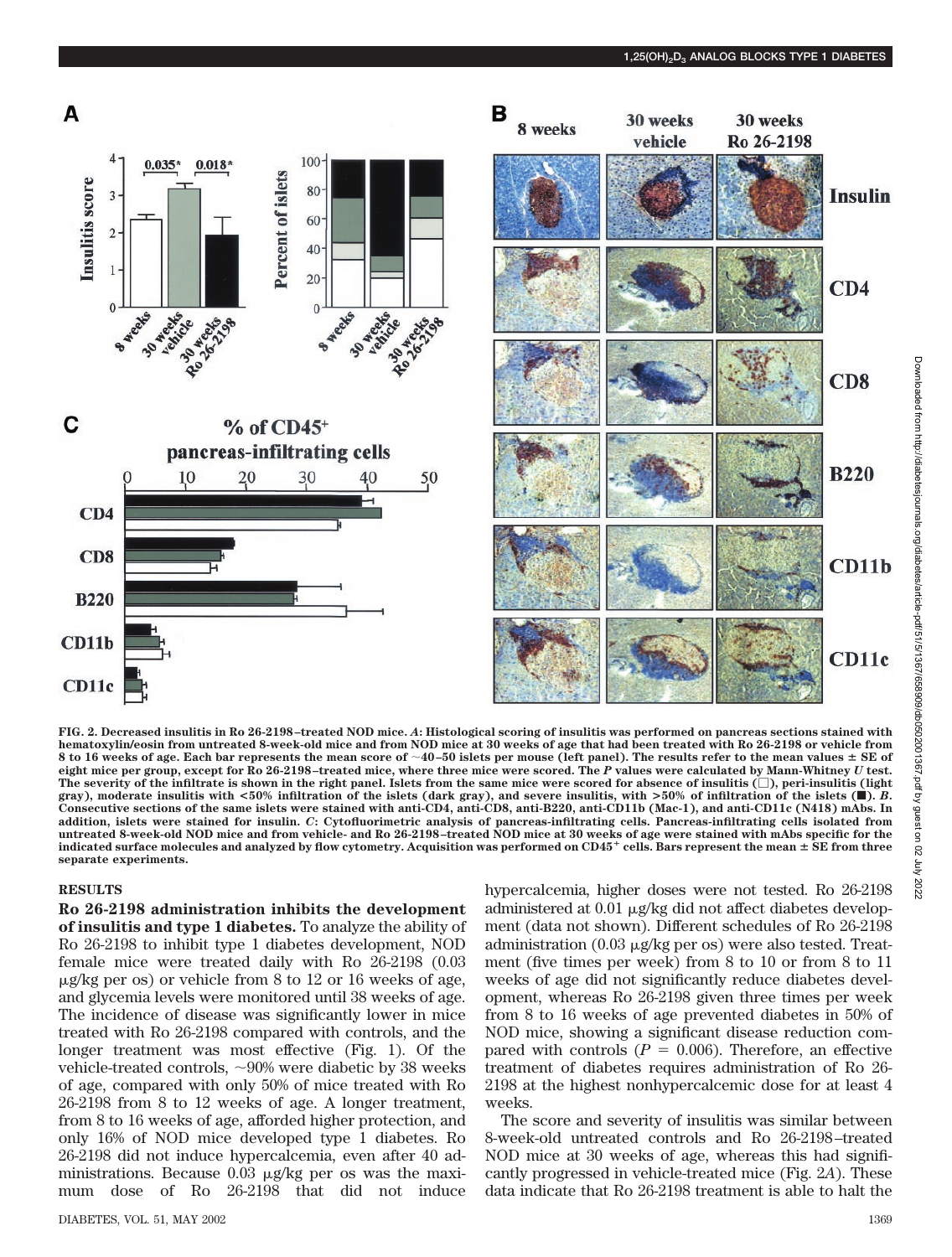

**FIG. 2. Decreased insulitis in Ro 26-2198–treated NOD mice.** *A***: Histological scoring of insulitis was performed on pancreas sections stained with hematoxylin/eosin from untreated 8-week-old mice and from NOD mice at 30 weeks of age that had been treated with Ro 26-2198 or vehicle from 8 to 16 weeks of age. Each bar represents the mean score of 40–50 islets per mouse (left panel). The results refer to the mean values SE of eight mice per group, except for Ro 26-2198–treated mice, where three mice were scored. The** *P* **values were calculated by Mann-Whitney** *U* **test. The severity of the infiltrate is shown in the right panel. Islets from the same mice were scored for absence of insulitis (), peri-insulitis (light gray), moderate insulitis with <50% infiltration of the islets (dark gray), and severe insulitis, with >50% of infiltration of the islets (**f**).** *B***. Consecutive sections of the same islets were stained with anti-CD4, anti-CD8, anti-B220, anti-CD11b (Mac-1), and anti-CD11c (N418) mAbs. In addition, islets were stained for insulin.** *C***: Cytofluorimetric analysis of pancreas-infiltrating cells. Pancreas-infiltrating cells isolated from untreated 8-week-old NOD mice and from vehicle- and Ro 26-2198–treated NOD mice at 30 weeks of age were stained with mAbs specific for the indicated surface molecules and analyzed by flow cytometry. Acquisition was performed on CD45 cells. Bars represent the mean SE from three separate experiments.**

# **RESULTS**

**Ro 26-2198 administration inhibits the development of insulitis and type 1 diabetes.** To analyze the ability of Ro 26-2198 to inhibit type 1 diabetes development, NOD female mice were treated daily with Ro 26-2198 (0.03 g/kg per os) or vehicle from 8 to 12 or 16 weeks of age, and glycemia levels were monitored until 38 weeks of age. The incidence of disease was significantly lower in mice treated with Ro 26-2198 compared with controls, and the longer treatment was most effective (Fig. 1). Of the vehicle-treated controls, 90% were diabetic by 38 weeks of age, compared with only 50% of mice treated with Ro 26-2198 from 8 to 12 weeks of age. A longer treatment, from 8 to 16 weeks of age, afforded higher protection, and only 16% of NOD mice developed type 1 diabetes. Ro 26-2198 did not induce hypercalcemia, even after 40 administrations. Because  $0.03 \mu g/kg$  per os was the maximum dose of Ro 26-2198 that did not induce

hypercalcemia, higher doses were not tested. Ro 26-2198 administered at  $0.01 \mu$ g/kg did not affect diabetes development (data not shown). Different schedules of Ro 26-2198 administration (0.03  $\mu$ g/kg per os) were also tested. Treatment (five times per week) from 8 to 10 or from 8 to 11 weeks of age did not significantly reduce diabetes development, whereas Ro 26-2198 given three times per week from 8 to 16 weeks of age prevented diabetes in 50% of NOD mice, showing a significant disease reduction compared with controls  $(P = 0.006)$ . Therefore, an effective treatment of diabetes requires administration of Ro 26- 2198 at the highest nonhypercalcemic dose for at least 4 weeks.

The score and severity of insulitis was similar between 8-week-old untreated controls and Ro 26-2198–treated NOD mice at 30 weeks of age, whereas this had significantly progressed in vehicle-treated mice (Fig. 2*A*). These data indicate that Ro 26-2198 treatment is able to halt the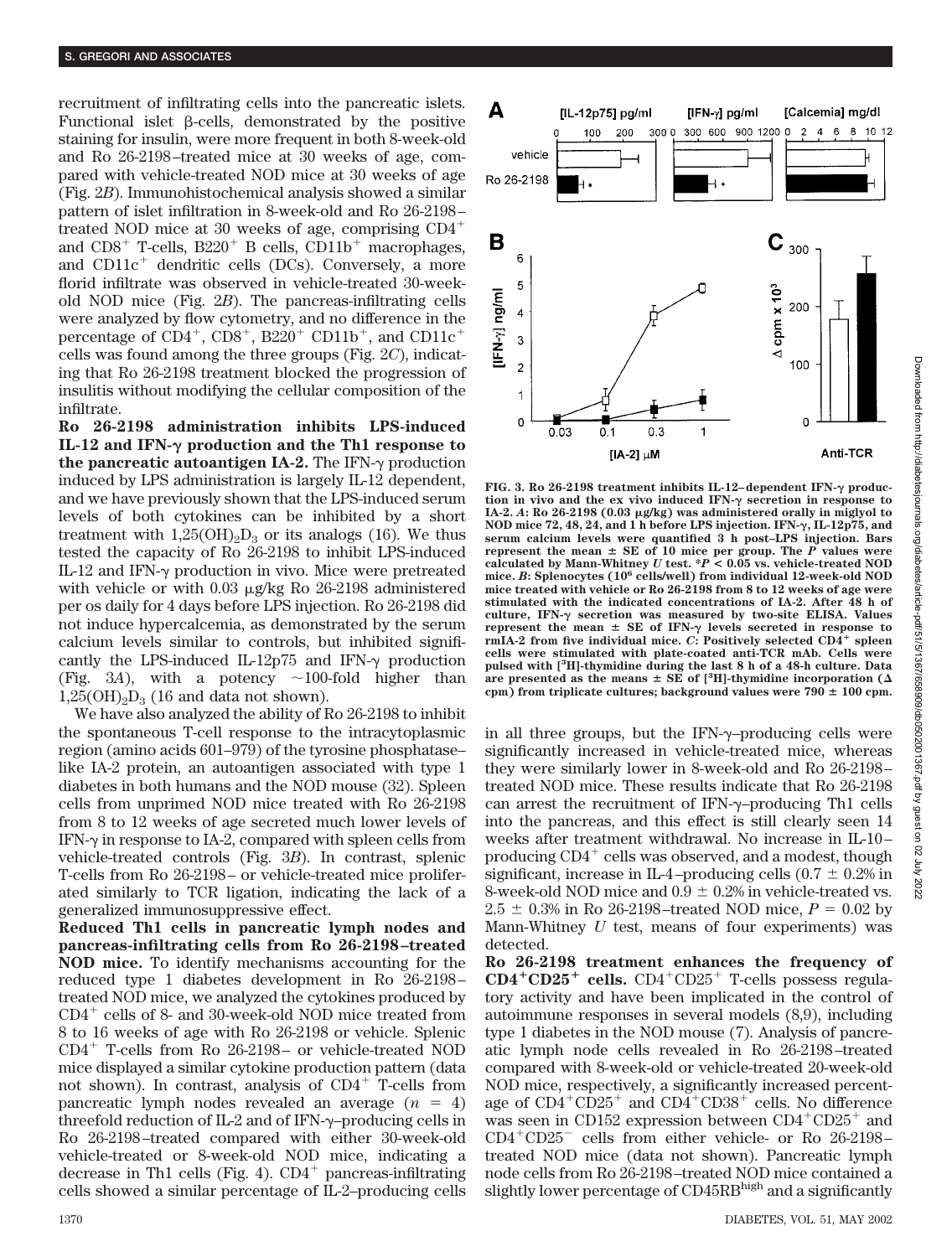recruitment of infiltrating cells into the pancreatic islets. Functional islet  $\beta$ -cells, demonstrated by the positive staining for insulin, were more frequent in both 8-week-old and Ro 26-2198–treated mice at 30 weeks of age, compared with vehicle-treated NOD mice at 30 weeks of age (Fig. 2*B*). Immunohistochemical analysis showed a similar pattern of islet infiltration in 8-week-old and Ro 26-2198– treated NOD mice at 30 weeks of age, comprising CD4 and  $CDS^+$  T-cells,  $B220^+$  B cells,  $CDD11b^+$  macrophages, and  $CD11c^+$  dendritic cells (DCs). Conversely, a more florid infiltrate was observed in vehicle-treated 30-weekold NOD mice (Fig. 2*B*). The pancreas-infiltrating cells were analyzed by flow cytometry, and no difference in the percentage of  $CD4^+$ ,  $CD8^+$ ,  $B220^+$   $CD11b^+$ , and  $CD11c^+$ cells was found among the three groups (Fig. 2*C*), indicating that Ro 26-2198 treatment blocked the progression of insulitis without modifying the cellular composition of the infiltrate.

**Ro 26-2198 administration inhibits LPS-induced** IL-12 and IFN- $\gamma$  production and the Th1 response to **the pancreatic autoantigen IA-2.** The IFN- $\gamma$  production induced by LPS administration is largely IL-12 dependent, and we have previously shown that the LPS-induced serum levels of both cytokines can be inhibited by a short treatment with  $1,25(OH)_{2}D_{3}$  or its analogs (16). We thus tested the capacity of Ro 26-2198 to inhibit LPS-induced IL-12 and IFN- $\gamma$  production in vivo. Mice were pretreated with vehicle or with  $0.03 \mu$ g/kg Ro 26-2198 administered per os daily for 4 days before LPS injection. Ro 26-2198 did not induce hypercalcemia, as demonstrated by the serum calcium levels similar to controls, but inhibited significantly the LPS-induced IL-12p75 and IFN- $\gamma$  production (Fig. 3A), with a potency  $\sim$ 100-fold higher than  $1,25(OH)_{2}D_{3}$  (16 and data not shown).

We have also analyzed the ability of Ro 26-2198 to inhibit the spontaneous T-cell response to the intracytoplasmic region (amino acids 601–979) of the tyrosine phosphatase– like IA-2 protein, an autoantigen associated with type 1 diabetes in both humans and the NOD mouse (32). Spleen cells from unprimed NOD mice treated with Ro 26-2198 from 8 to 12 weeks of age secreted much lower levels of IFN- $\gamma$  in response to IA-2, compared with spleen cells from vehicle-treated controls (Fig. 3*B*). In contrast, splenic T-cells from Ro 26-2198– or vehicle-treated mice proliferated similarly to TCR ligation, indicating the lack of a generalized immunosuppressive effect.

**Reduced Th1 cells in pancreatic lymph nodes and pancreas-infiltrating cells from Ro 26-2198–treated NOD mice.** To identify mechanisms accounting for the reduced type 1 diabetes development in Ro 26-2198– treated NOD mice, we analyzed the cytokines produced by CD4- cells of 8- and 30-week-old NOD mice treated from 8 to 16 weeks of age with Ro 26-2198 or vehicle. Splenic CD4- T-cells from Ro 26-2198– or vehicle-treated NOD mice displayed a similar cytokine production pattern (data not shown). In contrast, analysis of CD4- T-cells from pancreatic lymph nodes revealed an average  $(n = 4)$ threefold reduction of  $IL-2$  and of IFN- $\gamma$ –producing cells in Ro 26-2198–treated compared with either 30-week-old vehicle-treated or 8-week-old NOD mice, indicating a decrease in Th1 cells (Fig. 4). CD4<sup>+</sup> pancreas-infiltrating cells showed a similar percentage of IL-2–producing cells



FIG. 3. Ro 26-2198 treatment inhibits IL-12-dependent IFN- $\gamma$  production in vivo and the ex vivo induced  $IFN-\gamma$  secretion in response to **IA-2.** *A***: Ro 26-2198 (0.03 g/kg) was administered orally in miglyol to NOD mice 72, 48, 24, and 1 h before LPS injection. IFN-, IL-12p75, and serum calcium levels were quantified 3 h post–LPS injection. Bars represent the mean**  $\pm$  **SE of 10 mice per group. The**  $P$  **values were calculated by Mann-Whitney** *U* **test. \****P* **< 0.05 vs. vehicle-treated NOD mice.** *B***: Splenocytes (106 cells/well) from individual 12-week-old NOD mice treated with vehicle or Ro 26-2198 from 8 to 12 weeks of age were stimulated with the indicated concentrations of IA-2. After 48 h of** culture, IFN- $\gamma$  secretion was measured by two-site ELISA. Values represent the mean  $\pm$  SE of IFN- $\gamma$  levels secreted in response to **rmIA-2 from five individual mice.** *C*: Positively selected  $CD4^+$  spleen **cells were stimulated with plate-coated anti-TCR mAb. Cells were pulsed with [3 H]-thymidine during the last 8 h of a 48-h culture. Data** are presented as the means  $\pm$  SE of [<sup>3</sup>H]-thymidine incorporation ( $\Delta$  $c$ pm) from triplicate cultures; background values were  $790 \pm 100$  cpm.

in all three groups, but the IFN- $\gamma$ -producing cells were significantly increased in vehicle-treated mice, whereas they were similarly lower in 8-week-old and Ro 26-2198– treated NOD mice. These results indicate that Ro 26-2198 can arrest the recruitment of  $IFN-\gamma$ -producing Th1 cells into the pancreas, and this effect is still clearly seen 14 weeks after treatment withdrawal. No increase in IL-10– producing  $\rm CD4^{+}$  cells was observed, and a modest, though significant, increase in IL-4-producing cells  $(0.7 \pm 0.2\%)$  in 8-week-old NOD mice and  $0.9 \pm 0.2\%$  in vehicle-treated vs.  $2.5 \pm 0.3\%$  in Ro 26-2198–treated NOD mice,  $P = 0.02$  by Mann-Whitney *U* test, means of four experiments) was detected.

**Ro 26-2198 treatment enhances the frequency of CD4CD25 cells.** CD4-CD25- T-cells possess regulatory activity and have been implicated in the control of autoimmune responses in several models (8,9), including type 1 diabetes in the NOD mouse (7). Analysis of pancreatic lymph node cells revealed in Ro 26-2198–treated compared with 8-week-old or vehicle-treated 20-week-old NOD mice, respectively, a significantly increased percentage of CD4<sup>+</sup>CD25<sup>+</sup> and CD4<sup>+</sup>CD38<sup>+</sup> cells. No difference was seen in CD152 expression between  $CD4^+CD25^+$  and CD4<sup>+</sup>CD25<sup>-</sup> cells from either vehicle- or Ro 26-2198treated NOD mice (data not shown). Pancreatic lymph node cells from Ro 26-2198–treated NOD mice contained a slightly lower percentage of CD45RBhigh and a significantly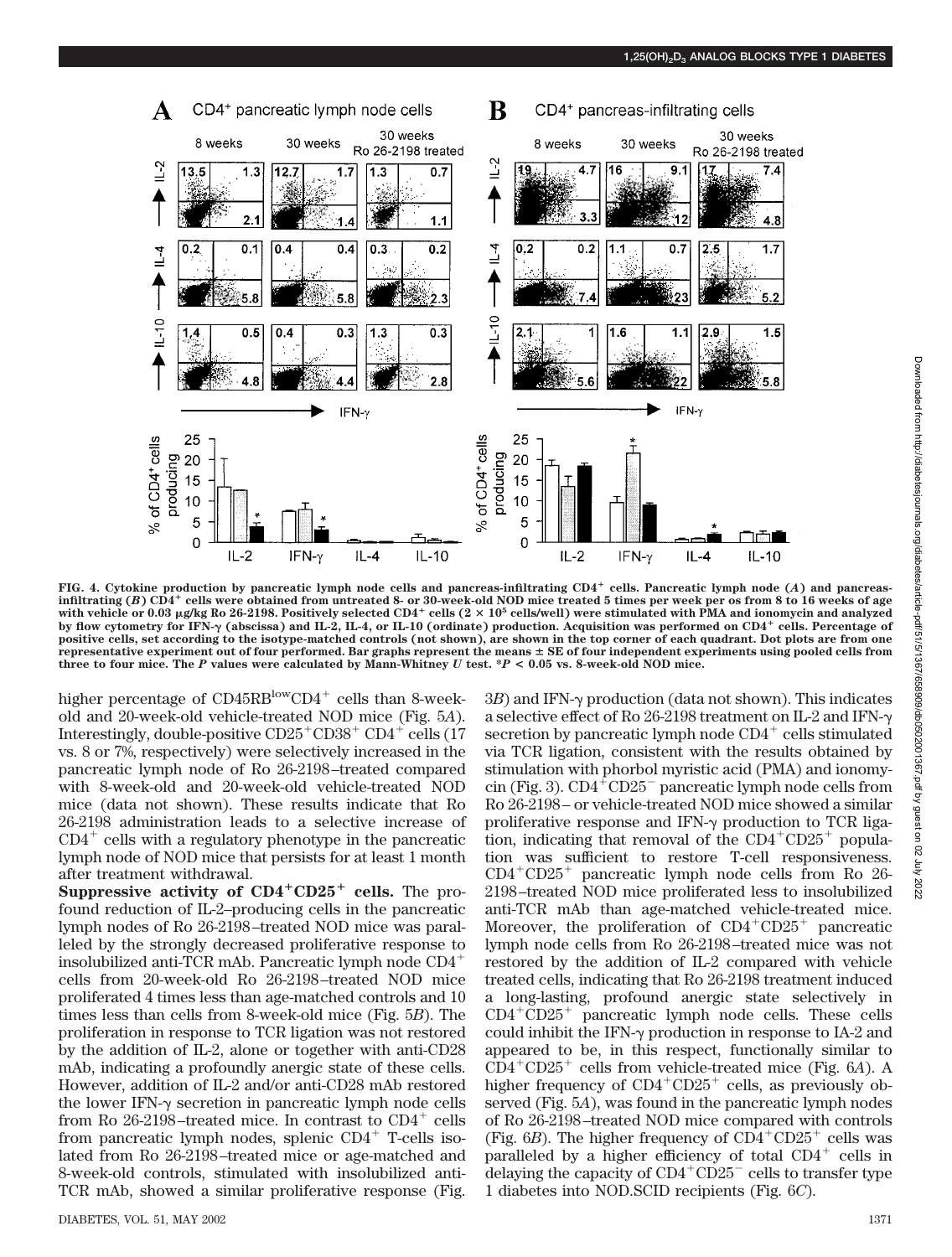

**FIG. 4. Cytokine production by pancreatic lymph node cells and pancreas-infiltrating CD4 cells. Pancreatic lymph node (***A***) and pancreasinfiltrating (***B***) CD4 cells were obtained from untreated 8- or 30-week-old NOD mice treated 5 times per week per os from 8 to 16 weeks of age with vehicle or 0.03 g/kg Ro 26-2198. Positively selected CD4 cells (2 105 cells/well) were stimulated with PMA and ionomycin and analyzed by flow cytometry for IFN- (abscissa) and IL-2, IL-4, or IL-10 (ordinate) production. Acquisition was performed on CD4 cells. Percentage of positive cells, set according to the isotype-matched controls (not shown), are shown in the top corner of each quadrant. Dot plots are from one representative experiment out of four performed. Bar graphs represent the means SE of four independent experiments using pooled cells from three to four mice. The** *P* **values were calculated by Mann-Whitney** *U* **test. \****P* **< 0.05 vs. 8-week-old NOD mice.**

higher percentage of CD45RB<sup>low</sup>CD4<sup>+</sup> cells than 8-weekold and 20-week-old vehicle-treated NOD mice (Fig. 5*A*). Interestingly, double-positive CD25<sup>+</sup>CD38<sup>+</sup> CD4<sup>+</sup> cells (17 vs. 8 or 7%, respectively) were selectively increased in the pancreatic lymph node of Ro 26-2198–treated compared with 8-week-old and 20-week-old vehicle-treated NOD mice (data not shown). These results indicate that Ro 26-2198 administration leads to a selective increase of  $CD4^+$  cells with a regulatory phenotype in the pancreatic lymph node of NOD mice that persists for at least 1 month after treatment withdrawal.

**Suppressive activity of CD4<sup>+</sup>CD25<sup>+</sup> cells.** The profound reduction of IL-2–producing cells in the pancreatic lymph nodes of Ro 26-2198–treated NOD mice was paralleled by the strongly decreased proliferative response to insolubilized anti-TCR mAb. Pancreatic lymph node CD4 cells from 20-week-old Ro 26-2198–treated NOD mice proliferated 4 times less than age-matched controls and 10 times less than cells from 8-week-old mice (Fig. 5*B*). The proliferation in response to TCR ligation was not restored by the addition of IL-2, alone or together with anti-CD28 mAb, indicating a profoundly anergic state of these cells. However, addition of IL-2 and/or anti-CD28 mAb restored the lower IFN- $\gamma$  secretion in pancreatic lymph node cells from Ro 26-2198-treated mice. In contrast to CD4<sup>+</sup> cells from pancreatic lymph nodes, splenic  $CD4^+$  T-cells isolated from Ro 26-2198–treated mice or age-matched and 8-week-old controls, stimulated with insolubilized anti-TCR mAb, showed a similar proliferative response (Fig.

DIABETES, VOL. 51, MAY 2002 1371

 $3B$ ) and IFN- $\gamma$  production (data not shown). This indicates a selective effect of Ro 26-2198 treatment on IL-2 and IFN secretion by pancreatic lymph node  $CD4^+$  cells stimulated via TCR ligation, consistent with the results obtained by stimulation with phorbol myristic acid (PMA) and ionomycin (Fig. 3). CD4-CD25 pancreatic lymph node cells from Ro 26-2198– or vehicle-treated NOD mice showed a similar proliferative response and IFN- $\gamma$  production to TCR ligation, indicating that removal of the  $CD4^+CD25^+$  population was sufficient to restore T-cell responsiveness. CD4-CD25- pancreatic lymph node cells from Ro 26- 2198–treated NOD mice proliferated less to insolubilized anti-TCR mAb than age-matched vehicle-treated mice. Moreover, the proliferation of CD4+CD25+ pancreatic lymph node cells from Ro 26-2198–treated mice was not restored by the addition of IL-2 compared with vehicle treated cells, indicating that Ro 26-2198 treatment induced a long-lasting, profound anergic state selectively in  $CD4+CD25+$  pancreatic lymph node cells. These cells could inhibit the IFN- $\gamma$  production in response to IA-2 and appeared to be, in this respect, functionally similar to CD4-CD25- cells from vehicle-treated mice (Fig. 6*A*). A higher frequency of CD4<sup>+</sup>CD25<sup>+</sup> cells, as previously observed (Fig. 5*A*), was found in the pancreatic lymph nodes of Ro 26-2198–treated NOD mice compared with controls (Fig.  $6B$ ). The higher frequency of  $CD4^+CD25^+$  cells was paralleled by a higher efficiency of total CD4<sup>+</sup> cells in delaying the capacity of  $CD4^+CD25^-$  cells to transfer type 1 diabetes into NOD.SCID recipients (Fig. 6*C*).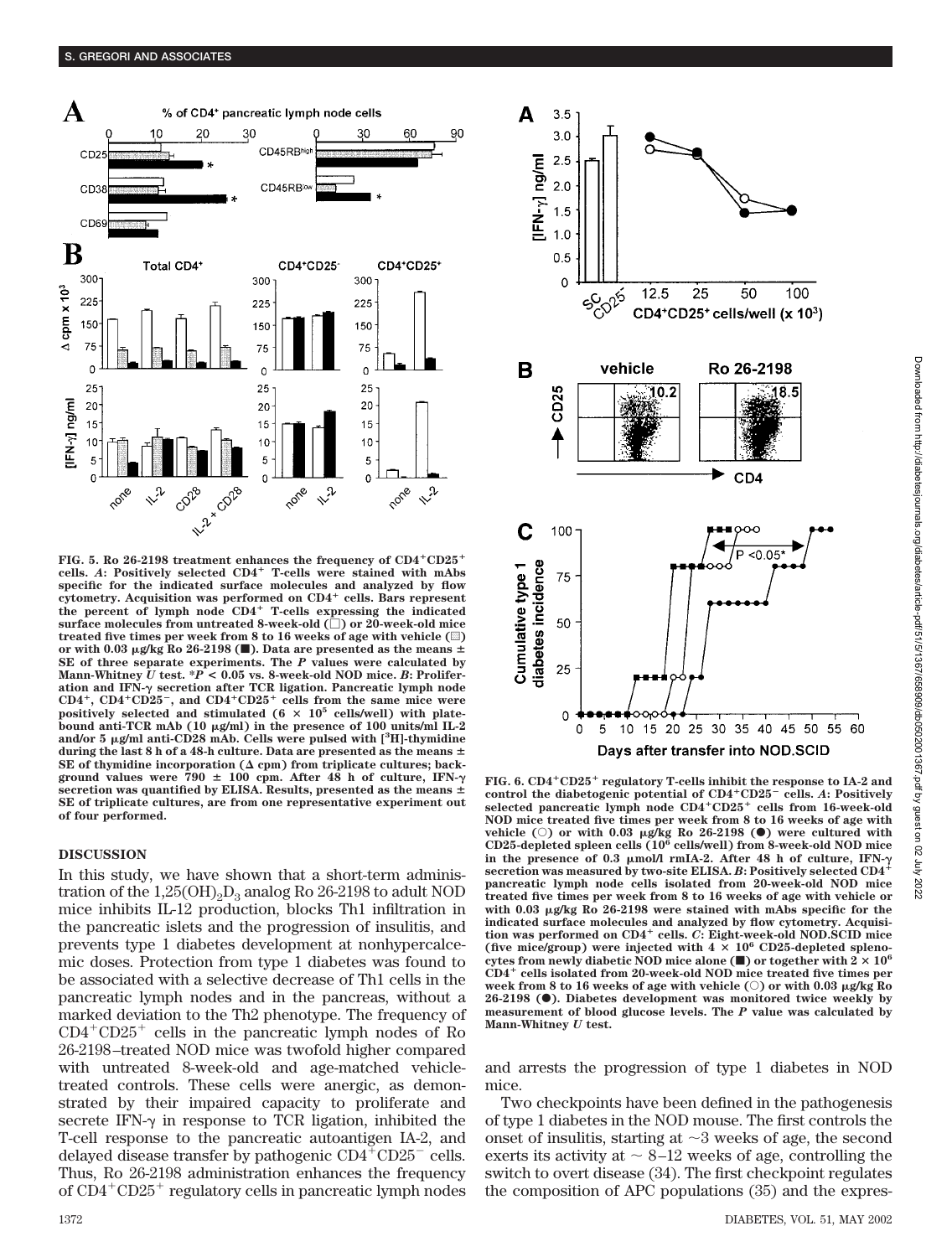

FIG. 5. Ro 26-2198 treatment enhances the frequency of CD4<sup>+</sup>CD25<sup>+</sup> **cells.** *A***: Positively selected CD4 T-cells were stained with mAbs specific for the indicated surface molecules and analyzed by flow cytometry. Acquisition was performed on CD4 cells. Bars represent the percent of lymph node CD4 T-cells expressing the indicated surface molecules from untreated 8-week-old () or 20-week-old mice** treated five times per week from 8 to 16 weeks of age with vehicle  $(\square)$ or with 0.03  $\mu$ g/kg Ro 26-2198 ( $\blacksquare$ ). Data are presented as the means  $\pm$ **SE of three separate experiments. The** *P* **values were calculated by Mann-Whitney** *U* **test. \****P* **< 0.05 vs. 8-week-old NOD mice.** *B***: Proliferation and IFN- secretion after TCR ligation. Pancreatic lymph node CD4, CD4CD25, and CD4CD25 cells from the same mice were positively selected and stimulated (6 105 cells/well) with platebound anti-TCR mAb (10 g/ml) in the presence of 100 units/ml IL-2** and/or 5  $\mu$ g/ml anti-CD28 mAb. Cells were pulsed with [<sup>3</sup>H]-thymidine **during the last 8 h of a 48-h culture. Data are presented as the means** SE of thymidine incorporation  $(\Delta$  cpm) from triplicate cultures; back**ground values were 790 100 cpm. After 48 h of culture, IFN secretion was quantified by ELISA. Results, presented as the means SE of triplicate cultures, are from one representative experiment out of four performed.**

# **DISCUSSION**

In this study, we have shown that a short-term administration of the  $1,25(OH)_{2}D_{3}$  analog Ro 26-2198 to adult NOD mice inhibits IL-12 production, blocks Th1 infiltration in the pancreatic islets and the progression of insulitis, and prevents type 1 diabetes development at nonhypercalcemic doses. Protection from type 1 diabetes was found to be associated with a selective decrease of Th1 cells in the pancreatic lymph nodes and in the pancreas, without a marked deviation to the Th2 phenotype. The frequency of CD4-CD25- cells in the pancreatic lymph nodes of Ro 26-2198–treated NOD mice was twofold higher compared with untreated 8-week-old and age-matched vehicletreated controls. These cells were anergic, as demonstrated by their impaired capacity to proliferate and secrete IFN- $\gamma$  in response to TCR ligation, inhibited the T-cell response to the pancreatic autoantigen IA-2, and delayed disease transfer by pathogenic  $CD4^{\text{+}}CD25^-$  cells. Thus, Ro 26-2198 administration enhances the frequency of CD4+CD25+ regulatory cells in pancreatic lymph nodes



**FIG. 6. CD4CD25 regulatory T-cells inhibit the response to IA-2 and control the diabetogenic potential of CD4CD25 cells.** *A***: Positively selected pancreatic lymph node CD4CD25 cells from 16-week-old NOD mice treated five times per week from 8 to 16 weeks of age with vehicle** ( $\circ$ ) or with 0.03  $\mu$ g/kg Ro 26-2198 ( $\bullet$ ) were cultured with **CD25-depleted spleen cells (106 cells/well) from 8-week-old NOD mice in the presence of 0.3 mol/l rmIA-2. After 48 h of culture, IFN- secretion was measured by two-site ELISA.** *B***: Positively selected CD4 pancreatic lymph node cells isolated from 20-week-old NOD mice treated five times per week from 8 to 16 weeks of age with vehicle or** with 0.03  $\mu$ g/kg Ro 26-2198 were stained with mAbs specific for the **indicated surface molecules and analyzed by flow cytometry. Acquisition was performed on CD4 cells.** *C***: Eight-week-old NOD.SCID mice** (five mice/group) were injected with  $4 \times 10^6$  CD25-depleted splenocytes from newly diabetic NOD mice alone ( $\blacksquare$ ) or together with  $2 \times 10^6$ **CD4 cells isolated from 20-week-old NOD mice treated five times per week from 8 to 16 weeks of age with vehicle (**E**) or with 0.03 g/kg Ro 26-2198 (**F**). Diabetes development was monitored twice weekly by measurement of blood glucose levels. The** *P* **value was calculated by Mann-Whitney** *U* **test.**

and arrests the progression of type 1 diabetes in NOD mice.

Two checkpoints have been defined in the pathogenesis of type 1 diabetes in the NOD mouse. The first controls the onset of insulitis, starting at  $\sim$ 3 weeks of age, the second exerts its activity at  $\sim 8-12$  weeks of age, controlling the switch to overt disease (34). The first checkpoint regulates the composition of APC populations (35) and the expres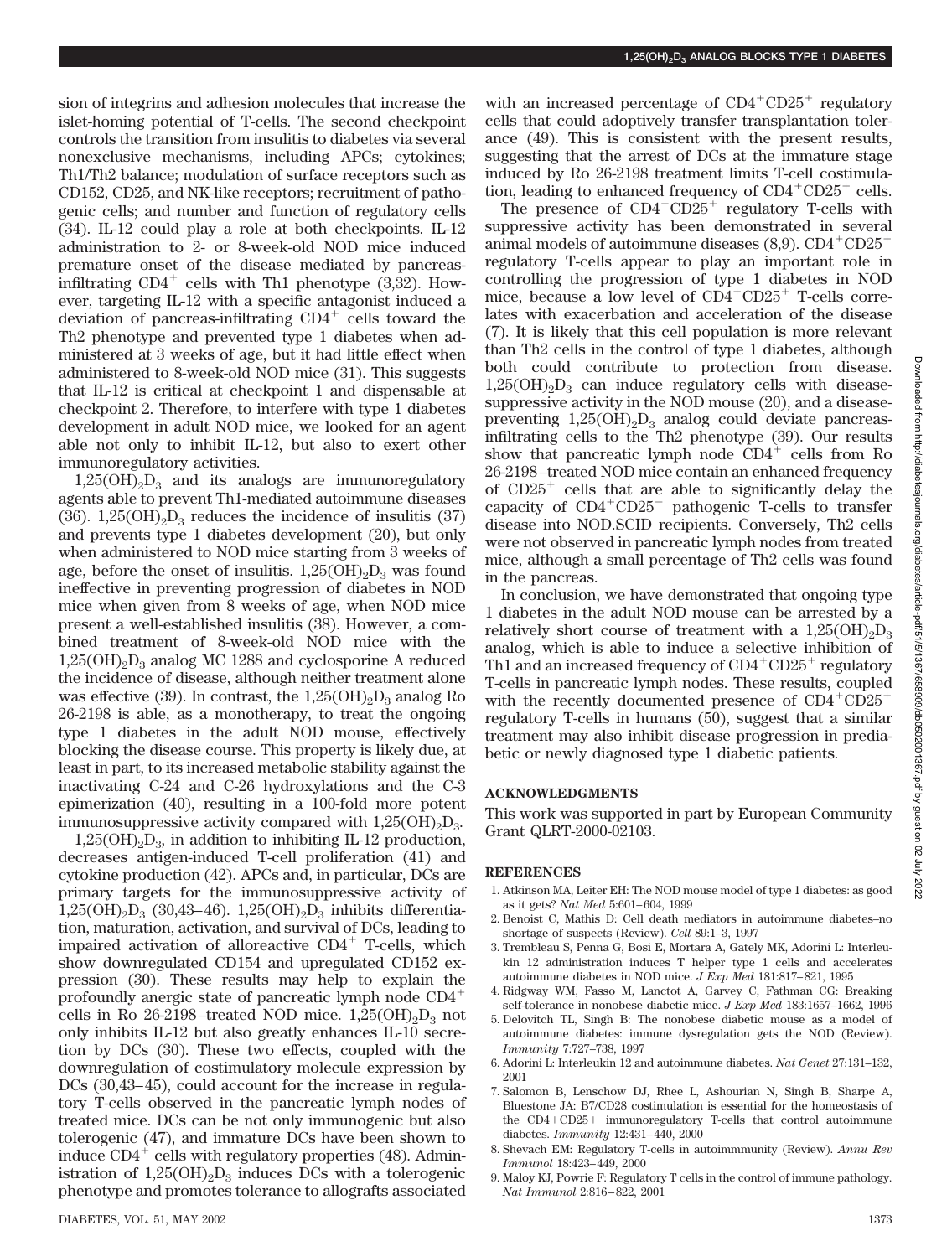sion of integrins and adhesion molecules that increase the islet-homing potential of T-cells. The second checkpoint controls the transition from insulitis to diabetes via several nonexclusive mechanisms, including APCs; cytokines; Th1/Th2 balance; modulation of surface receptors such as CD152, CD25, and NK-like receptors; recruitment of pathogenic cells; and number and function of regulatory cells (34). IL-12 could play a role at both checkpoints. IL-12 administration to 2- or 8-week-old NOD mice induced premature onset of the disease mediated by pancreasinfiltrating  $CD4^+$  cells with Th1 phenotype  $(3,32)$ . However, targeting IL-12 with a specific antagonist induced a deviation of pancreas-infiltrating CD4<sup>+</sup> cells toward the Th2 phenotype and prevented type 1 diabetes when administered at 3 weeks of age, but it had little effect when administered to 8-week-old NOD mice (31). This suggests that IL-12 is critical at checkpoint 1 and dispensable at checkpoint 2. Therefore, to interfere with type 1 diabetes development in adult NOD mice, we looked for an agent able not only to inhibit IL-12, but also to exert other immunoregulatory activities.

 $1,25(OH)_{2}D_{3}$  and its analogs are immunoregulatory agents able to prevent Th1-mediated autoimmune diseases (36).  $1,25(OH)_{2}D_{3}$  reduces the incidence of insulitis (37) and prevents type 1 diabetes development (20), but only when administered to NOD mice starting from 3 weeks of age, before the onset of insulitis.  $1,25(OH)_{2}D_{3}$  was found ineffective in preventing progression of diabetes in NOD mice when given from 8 weeks of age, when NOD mice present a well-established insulitis (38). However, a combined treatment of 8-week-old NOD mice with the  $1,25(OH)_{2}D_{3}$  analog MC 1288 and cyclosporine A reduced the incidence of disease, although neither treatment alone was effective (39). In contrast, the  $1,25(OH)_2D_3$  analog Ro 26-2198 is able, as a monotherapy, to treat the ongoing type 1 diabetes in the adult NOD mouse, effectively blocking the disease course. This property is likely due, at least in part, to its increased metabolic stability against the inactivating C-24 and C-26 hydroxylations and the C-3 epimerization (40), resulting in a 100-fold more potent immunosuppressive activity compared with  $1,25(OH)_{2}D_{3}$ .

 $1,25(OH)<sub>2</sub>D<sub>3</sub>$ , in addition to inhibiting IL-12 production, decreases antigen-induced T-cell proliferation (41) and cytokine production (42). APCs and, in particular, DCs are primary targets for the immunosuppressive activity of  $1,25(OH)_{2}D_{3}$  (30,43–46).  $1,25(OH)_{2}D_{3}$  inhibits differentiation, maturation, activation, and survival of DCs, leading to impaired activation of alloreactive CD4<sup>+</sup> T-cells, which show downregulated CD154 and upregulated CD152 expression (30). These results may help to explain the profoundly anergic state of pancreatic lymph node CD4 cells in Ro 26-2198–treated NOD mice.  $1,25(OH)_{2}D_{3}$  not only inhibits IL-12 but also greatly enhances IL-10 secretion by DCs (30). These two effects, coupled with the downregulation of costimulatory molecule expression by DCs (30,43–45), could account for the increase in regulatory T-cells observed in the pancreatic lymph nodes of treated mice. DCs can be not only immunogenic but also tolerogenic (47), and immature DCs have been shown to induce  $CD4^+$  cells with regulatory properties (48). Administration of  $1,25(OH)_2D_3$  induces DCs with a tolerogenic phenotype and promotes tolerance to allografts associated

with an increased percentage of  $CD4^+CD25^+$  regulatory cells that could adoptively transfer transplantation tolerance (49). This is consistent with the present results, suggesting that the arrest of DCs at the immature stage induced by Ro 26-2198 treatment limits T-cell costimulation, leading to enhanced frequency of  $CD4^+CD25^+$  cells.

The presence of  $CD4+CD25+$  regulatory T-cells with suppressive activity has been demonstrated in several animal models of autoimmune diseases  $(8,9)$ . CD4<sup>+</sup>CD25<sup>+</sup> regulatory T-cells appear to play an important role in controlling the progression of type 1 diabetes in NOD mice, because a low level of CD4<sup>+</sup>CD25<sup>+</sup> T-cells correlates with exacerbation and acceleration of the disease (7). It is likely that this cell population is more relevant than Th2 cells in the control of type 1 diabetes, although both could contribute to protection from disease.  $1,25(OH)_{2}D_{3}$  can induce regulatory cells with diseasesuppressive activity in the NOD mouse (20), and a diseasepreventing  $1,25(OH)_{2}D_{3}$  analog could deviate pancreasinfiltrating cells to the Th2 phenotype (39). Our results show that pancreatic lymph node  $CD4^+$  cells from Ro 26-2198–treated NOD mice contain an enhanced frequency of CD25- cells that are able to significantly delay the capacity of CD4+CD25<sup>-</sup> pathogenic T-cells to transfer disease into NOD.SCID recipients. Conversely, Th2 cells were not observed in pancreatic lymph nodes from treated mice, although a small percentage of Th2 cells was found in the pancreas.

In conclusion, we have demonstrated that ongoing type 1 diabetes in the adult NOD mouse can be arrested by a relatively short course of treatment with a  $1,25(OH)_{2}D_{3}$ analog, which is able to induce a selective inhibition of Th1 and an increased frequency of  $CD4^+CD25^+$  regulatory T-cells in pancreatic lymph nodes. These results, coupled with the recently documented presence of  $CD4^+CD25^+$ regulatory T-cells in humans (50), suggest that a similar treatment may also inhibit disease progression in prediabetic or newly diagnosed type 1 diabetic patients.

# **ACKNOWLEDGMENTS**

This work was supported in part by European Community Grant QLRT-2000-02103.

#### **REFERENCES**

- 1. Atkinson MA, Leiter EH: The NOD mouse model of type 1 diabetes: as good as it gets? *Nat Med* 5:601–604, 1999
- 2. Benoist C, Mathis D: Cell death mediators in autoimmune diabetes–no shortage of suspects (Review). *Cell* 89:1–3, 1997
- 3. Trembleau S, Penna G, Bosi E, Mortara A, Gately MK, Adorini L: Interleukin 12 administration induces T helper type 1 cells and accelerates autoimmune diabetes in NOD mice. *J Exp Med* 181:817–821, 1995
- 4. Ridgway WM, Fasso M, Lanctot A, Garvey C, Fathman CG: Breaking self-tolerance in nonobese diabetic mice. *J Exp Med* 183:1657–1662, 1996
- 5. Delovitch TL, Singh B: The nonobese diabetic mouse as a model of autoimmune diabetes: immune dysregulation gets the NOD (Review). *Immunity* 7:727–738, 1997
- 6. Adorini L: Interleukin 12 and autoimmune diabetes. *Nat Genet* 27:131–132, 2001
- 7. Salomon B, Lenschow DJ, Rhee L, Ashourian N, Singh B, Sharpe A, Bluestone JA: B7/CD28 costimulation is essential for the homeostasis of the CD4-CD25- immunoregulatory T-cells that control autoimmune diabetes. *Immunity* 12:431–440, 2000
- 8. Shevach EM: Regulatory T-cells in autoimmmunity (Review). *Annu Rev Immunol* 18:423–449, 2000
- 9. Maloy KJ, Powrie F: Regulatory T cells in the control of immune pathology. *Nat Immunol* 2:816–822, 2001